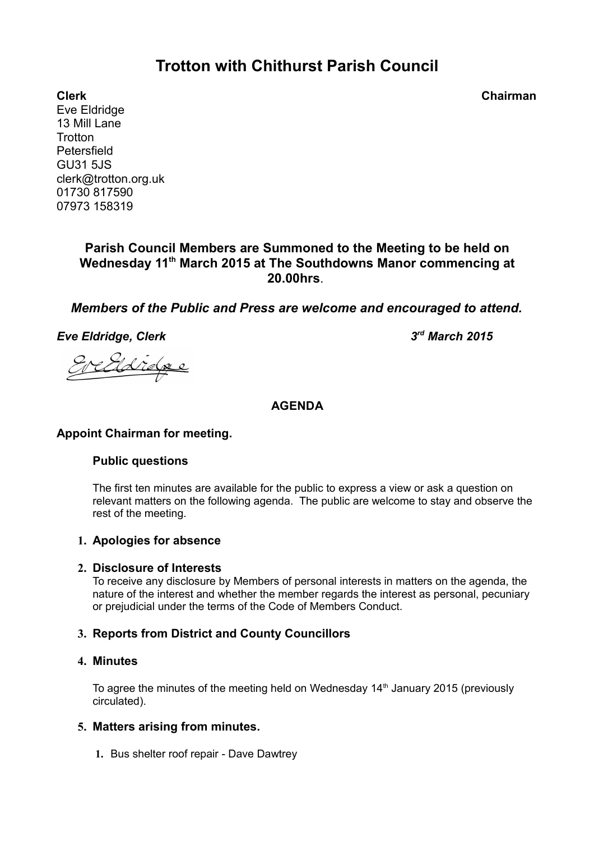# **Trotton with Chithurst Parish Council**

**Clerk Chairman** Eve Eldridge 13 Mill Lane **Trotton Petersfield** GU31 5JS clerk@trotton.org.uk 01730 817590 07973 158319

## **Parish Council Members are Summoned to the Meeting to be held on Wednesday 11th March 2015 at The Southdowns Manor commencing at 20.00hrs**.

## *Members of the Public and Press are welcome and encouraged to attend.*

*Eve Eldridge, Clerk* 

*rd March 2015*

## **AGENDA**

#### **Appoint Chairman for meeting.**

#### **Public questions**

The first ten minutes are available for the public to express a view or ask a question on relevant matters on the following agenda. The public are welcome to stay and observe the rest of the meeting.

#### **1. Apologies for absence**

#### **2. Disclosure of Interests**

To receive any disclosure by Members of personal interests in matters on the agenda, the nature of the interest and whether the member regards the interest as personal, pecuniary or prejudicial under the terms of the Code of Members Conduct.

## **3. Reports from District and County Councillors**

#### **4. Minutes**

To agree the minutes of the meeting held on Wednesday  $14<sup>th</sup>$  January 2015 (previously circulated).

## **5. Matters arising from minutes.**

 **1.** Bus shelter roof repair - Dave Dawtrey